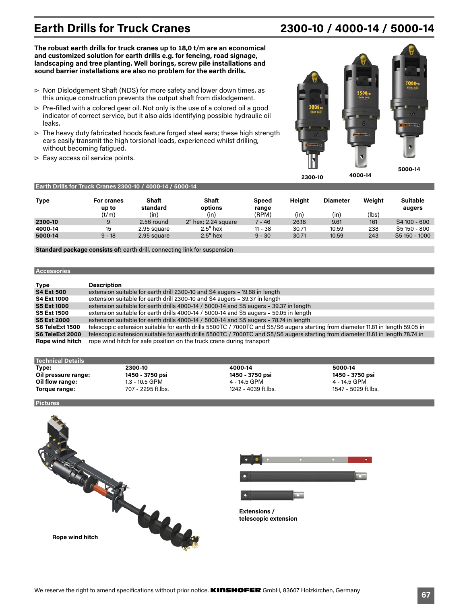# **Earth Drills for Truck Cranes 2300-10 / 4000-14 / 5000-14**

**The robust earth drills for truck cranes up to 18,0 t/m are an economical and customized solution for earth drills e.g. for fencing, road signage, landscaping and tree planting. Well borings, screw pile installations and sound barrier installations are also no problem for the earth drills.** 

- ▷ Non Dislodgement Shaft (NDS) for more safety and lower down times, as this unique construction prevents the output shaft from dislodgement.
- ▷ Pre-filled with a colored gear oil. Not only is the use of a colored oil a good indicator of correct service, but it also aids identifying possible hydraulic oil leaks.
- ▷ The heavy duty fabricated hoods feature forged steel ears; these high strength ears easily transmit the high torsional loads, experienced whilst drilling, without becoming fatigued.
- ▷ Easy access oil service points.



| <b>Type</b> | <b>For cranes</b><br>up to<br>(t/m) | <b>Shaft</b><br>standard<br>(in) | Shaft<br>options<br>(in) | Speed<br>range<br>(RPM) | <b>Height</b><br>(in) | <b>Diameter</b><br>(in) | Weight<br>(lbs) | <b>Suitable</b><br>augers |
|-------------|-------------------------------------|----------------------------------|--------------------------|-------------------------|-----------------------|-------------------------|-----------------|---------------------------|
| 2300-10     |                                     | 2.56 round                       | $2u$ hex; 2.24 square    | 7 - 46                  | 26.18                 | 9.61                    | 161             | S4 100 - 600              |
| 4000-14     | 15                                  | 2.95 square                      | $2.5$ " hex              | $11 - 38$               | 30.71                 | 10.59                   | 238             | S5 150 - 800              |
| 5000-14     | $9 - 18$                            | 2.95 square                      | $2.5$ " hex              | $9 - 30$                | 30.71                 | 10.59                   | 243             | S5 150 - 1000             |

**Standard package consists of:** earth drill, connecting link for suspension

**Earth Drills for Truck Cranes 2300-10 / 4000-14 / 5000-14**

### **Accessories**

| <b>Type</b>            | <b>Description</b>                                                                                                              |
|------------------------|---------------------------------------------------------------------------------------------------------------------------------|
| <b>S4 Ext 500</b>      | extension suitable for earth drill 2300-10 and S4 augers - 19.68 in length                                                      |
| <b>S4 Ext 1000</b>     | extension suitable for earth drill 2300-10 and S4 augers - 39.37 in length                                                      |
| <b>S5 Ext 1000</b>     | extension suitable for earth drills 4000-14 / 5000-14 and S5 augers - 39.37 in length                                           |
| <b>S5 Ext 1500</b>     | extension suitable for earth drills 4000-14 / 5000-14 and S5 augers - 59.05 in length                                           |
| <b>S5 Ext 2000</b>     | extension suitable for earth drills 4000-14 / 5000-14 and S5 augers - 78.74 in length                                           |
| S6 TeleExt 1500        | telescopic extension suitable for earth drills 5500TC / 7000TC and S5/S6 augers starting from diameter 11.81 in length 59.05 in |
| S6 TeleExt 2000        | telescopic extension suitable for earth drills 5500TC / 7000TC and S5/S6 augers starting from diameter 11.81 in length 78.74 in |
| <b>Rope wind hitch</b> | rope wind hitch for safe position on the truck crane during transport                                                           |

| <b>Technical Details</b> |                    |                     |                     |
|--------------------------|--------------------|---------------------|---------------------|
| Type:                    | 2300-10            | 4000-14             | 5000-14             |
| Oil pressure range:      | 1450 - 3750 psi    | 1450 - 3750 psi     | 1450 - 3750 psi     |
| Oil flow range:          | 1.3 - 10.5 GPM     | 4 - 14.5 GPM        | 4 - 14.5 GPM        |
| Torque range:            | 707 - 2295 ft.lbs. | 1242 - 4039 ft.lbs. | 1547 - 5029 ft.lbs. |

**Pictures**



 $\mathbb{R}^n$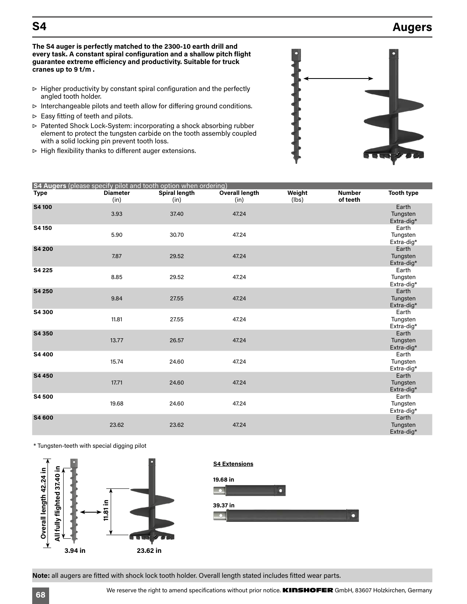## **S4 Augers**

**The S4 auger is perfectly matched to the 2300-10 earth drill and every task. A constant spiral configuration and a shallow pitch flight guarantee extreme efficiency and productivity. Suitable for truck cranes up to 9 t/m .**

- ▷ Higher productivity by constant spiral configuration and the perfectly angled tooth holder.
- ▷ Interchangeable pilots and teeth allow for differing ground conditions.
- $\triangleright$  Easy fitting of teeth and pilots.
- ▷ Patented Shock Lock-System: incorporating a shock absorbing rubber element to protect the tungsten carbide on the tooth assembly coupled with a solid locking pin prevent tooth loss.
- ▷ High flexibility thanks to different auger extensions.



|             |                         | S4 Augers (please specify pilot and tooth option when ordering) |                               |                 |                           |                                 |
|-------------|-------------------------|-----------------------------------------------------------------|-------------------------------|-----------------|---------------------------|---------------------------------|
| <b>Type</b> | <b>Diameter</b><br>(in) | Spiral length<br>(in)                                           | <b>Overall length</b><br>(in) | Weight<br>(lbs) | <b>Number</b><br>of teeth | <b>Tooth type</b>               |
| S4 100      | 3.93                    | 37.40                                                           | 47.24                         |                 |                           | Earth<br>Tungsten<br>Extra-dig* |
| S4 150      | 5.90                    | 30.70                                                           | 47.24                         |                 |                           | Earth<br>Tungsten<br>Extra-dig* |
| S4 200      | 7.87                    | 29.52                                                           | 47.24                         |                 |                           | Earth<br>Tungsten<br>Extra-dig* |
| S4 225      | 8.85                    | 29.52                                                           | 47.24                         |                 |                           | Earth<br>Tungsten<br>Extra-dig* |
| S4 250      | 9.84                    | 27.55                                                           | 47.24                         |                 |                           | Earth<br>Tungsten<br>Extra-dig* |
| S4 300      | 11.81                   | 27.55                                                           | 47.24                         |                 |                           | Earth<br>Tungsten<br>Extra-dig* |
| S4 350      | 13.77                   | 26.57                                                           | 47.24                         |                 |                           | Earth<br>Tungsten<br>Extra-dig* |
| S4 400      | 15.74                   | 24.60                                                           | 47.24                         |                 |                           | Earth<br>Tungsten<br>Extra-dig* |
| S4 450      | 17.71                   | 24.60                                                           | 47.24                         |                 |                           | Earth<br>Tungsten<br>Extra-dig* |
| S4 500      | 19.68                   | 24.60                                                           | 47.24                         |                 |                           | Earth<br>Tungsten<br>Extra-dig* |
| S4 600      | 23.62                   | 23.62                                                           | 47.24                         |                 |                           | Earth<br>Tungsten<br>Extra-dig* |

\* Tungsten-teeth with special digging pilot





**Note:** all augers are fitted with shock lock tooth holder. Overall length stated includes fitted wear parts.